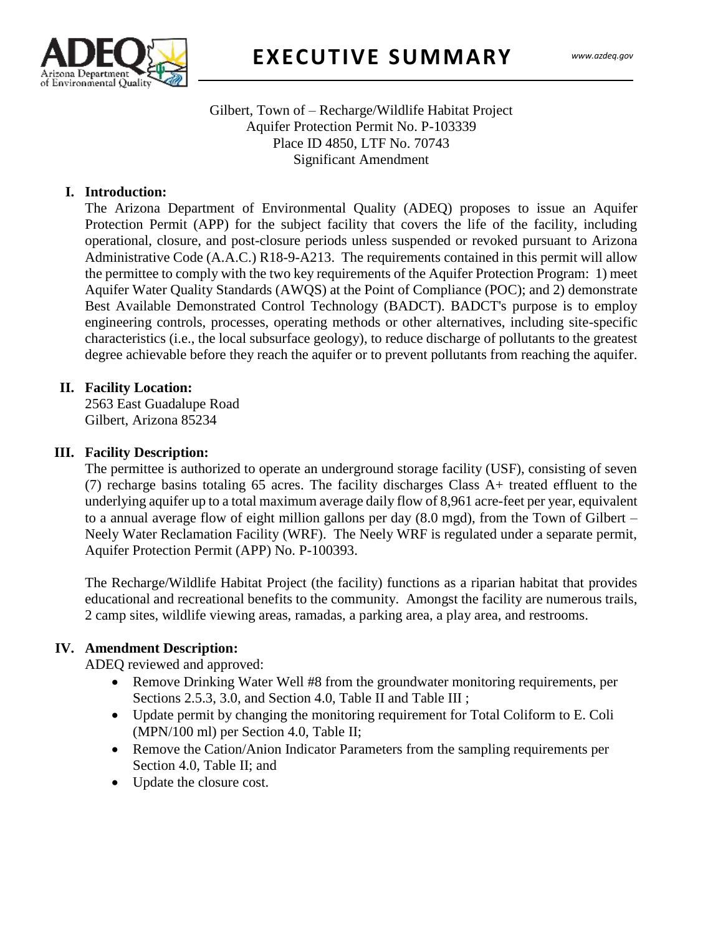

## Gilbert, Town of – Recharge/Wildlife Habitat Project Aquifer Protection Permit No. P-103339 Place ID 4850, LTF No. 70743 Significant Amendment

# **I. Introduction:**

 $\frac{1}{2}$ The Arizona Department of Environmental Quality (ADEQ) proposes to issue an Aquifer Protection Permit (APP) for the subject facility that covers the life of the facility, including operational, closure, and post-closure periods unless suspended or revoked pursuant to Arizona Administrative Code (A.A.C.) R18-9-A213. The requirements contained in this permit will allow the permittee to comply with the two key requirements of the Aquifer Protection Program: 1) meet Aquifer Water Quality Standards (AWQS) at the Point of Compliance (POC); and 2) demonstrate Best Available Demonstrated Control Technology (BADCT). BADCT's purpose is to employ engineering controls, processes, operating methods or other alternatives, including site-specific characteristics (i.e., the local subsurface geology), to reduce discharge of pollutants to the greatest degree achievable before they reach the aquifer or to prevent pollutants from reaching the aquifer.

## **II. Facility Location:**

2563 East Guadalupe Road Gilbert, Arizona 85234

#### **III. Facility Description:**

The permittee is authorized to operate an underground storage facility (USF), consisting of seven (7) recharge basins totaling 65 acres. The facility discharges Class A+ treated effluent to the underlying aquifer up to a total maximum average daily flow of 8,961 acre-feet per year, equivalent to a annual average flow of eight million gallons per day (8.0 mgd), from the Town of Gilbert – Neely Water Reclamation Facility (WRF). The Neely WRF is regulated under a separate permit, Aquifer Protection Permit (APP) No. P-100393.

The Recharge/Wildlife Habitat Project (the facility) functions as a riparian habitat that provides educational and recreational benefits to the community. Amongst the facility are numerous trails, 2 camp sites, wildlife viewing areas, ramadas, a parking area, a play area, and restrooms.

#### **IV. Amendment Description:**

ADEQ reviewed and approved:

- Remove Drinking Water Well #8 from the groundwater monitoring requirements, per Sections 2.5.3, 3.0, and Section 4.0, Table II and Table III ;
- Update permit by changing the monitoring requirement for Total Coliform to E. Coli (MPN/100 ml) per Section 4.0, Table II;
- Remove the Cation/Anion Indicator Parameters from the sampling requirements per Section 4.0, Table II; and
- Update the closure cost.